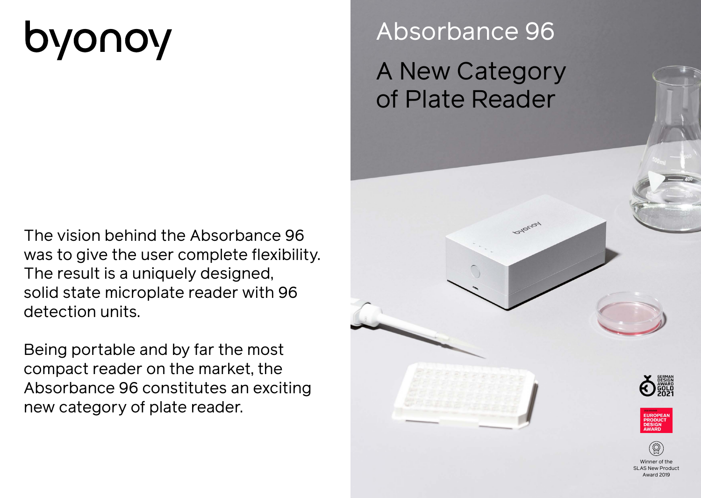# byonoy

The vision behind the Absorbance 96 was to give the user complete flexibility. The result is a uniquely designed, solid state microplate reader with 96 detection units.

Being portable and by far the most compact reader on the market, the Absorbance 96 constitutes an exciting new category of plate reader.

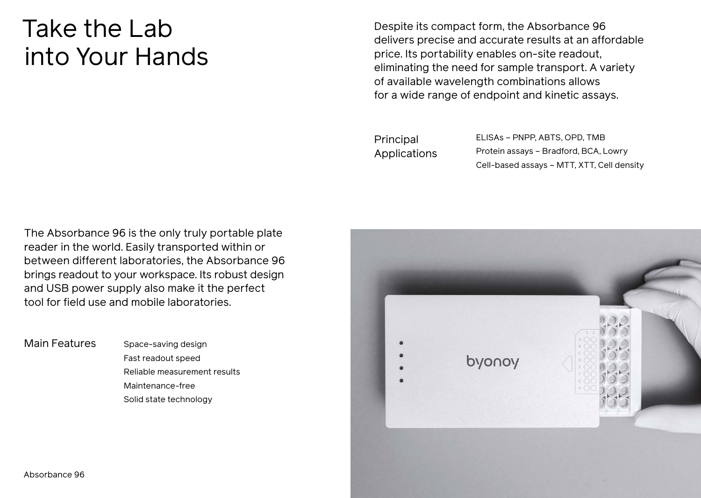#### Take the Lab into Your Hands

Despite its compact form, the Absorbance 96 delivers precise and accurate results at an affordable price. Its portability enables on-site readout, eliminating the need for sample transport. A variety of available wavelength combinations allows for a wide range of endpoint and kinetic assays.

Principal Applications

ELISAs – PNPP, ABTS, OPD, TMB Protein assays – Bradford, BCA, Lowry Cell-based assays – MTT, XTT, Cell density

The Absorbance 96 is the only truly portable plate reader in the world. Easily transported within or between different laboratories, the Absorbance 96 brings readout to your workspace. Its robust design and USB power supply also make it the perfect tool for field use and mobile laboratories.

Main Features Space-saving design

Fast readout speed Reliable measurement results Maintenance-free Solid state technology

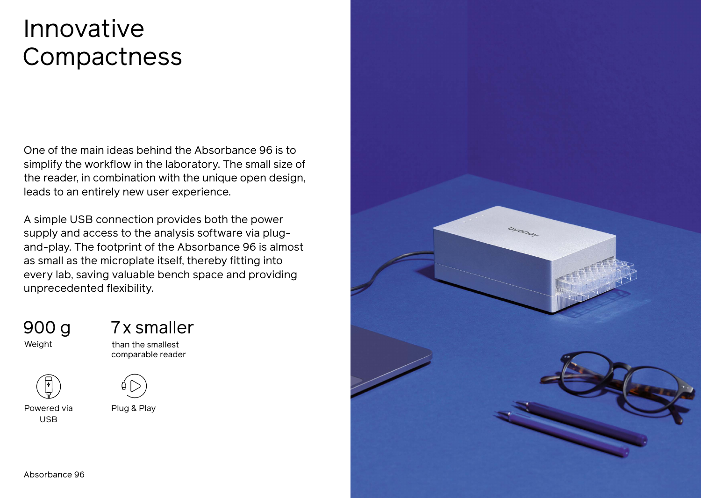### Innovative Compactness

One of the main ideas behind the Absorbance 96 is to simplify the workflow in the laboratory. The small size of the reader, in combination with the unique open design, leads to an entirely new user experience.

A simple USB connection provides both the power supply and access to the analysis software via plugand-play. The footprint of the Absorbance 96 is almost as small as the microplate itself, thereby fitting into every lab, saving valuable bench space and providing unprecedented flexibility.

#### 900 g 7x smaller

Weight



comparable reader





Powered via USB

Plug & Play

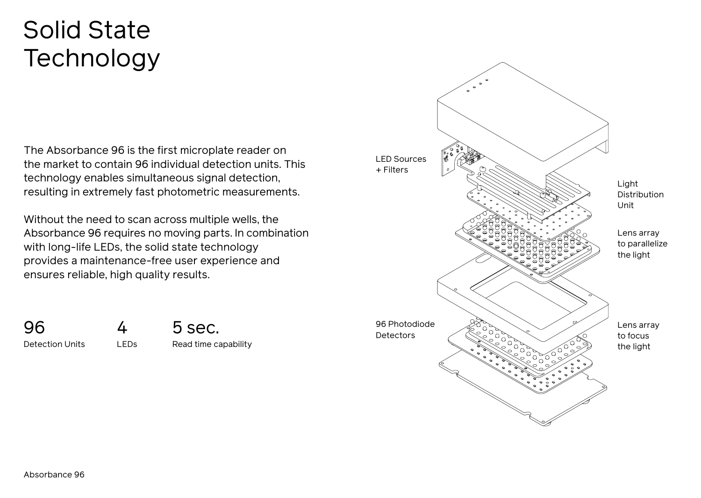### Solid State Technology

The Absorbance 96 is the first microplate reader on the market to contain 96 individual detection units. This technology enables simultaneous signal detection, resulting in extremely fast photometric measurements.

Without the need to scan across multiple wells, the Absorbance 96 requires no moving parts. In combination with long-life LEDs, the solid state technology provides a maintenance-free user experience and ensures reliable, high quality results.

Detection Units LEDs Read time capability

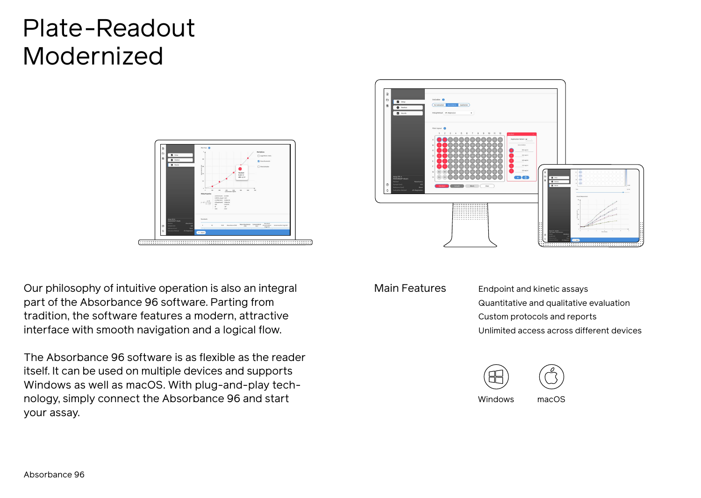#### Plate-Readout Modernized





Our philosophy of intuitive operation is also an integral part of the Absorbance 96 software. Parting from tradition, the software features a modern, attractive interface with smooth navigation and a logical flow.

The Absorbance 96 software is as flexible as the reader itself. It can be used on multiple devices and supports Windows as well as macOS. With plug-and-play technology, simply connect the Absorbance 96 and start your assay.







Absorbance 96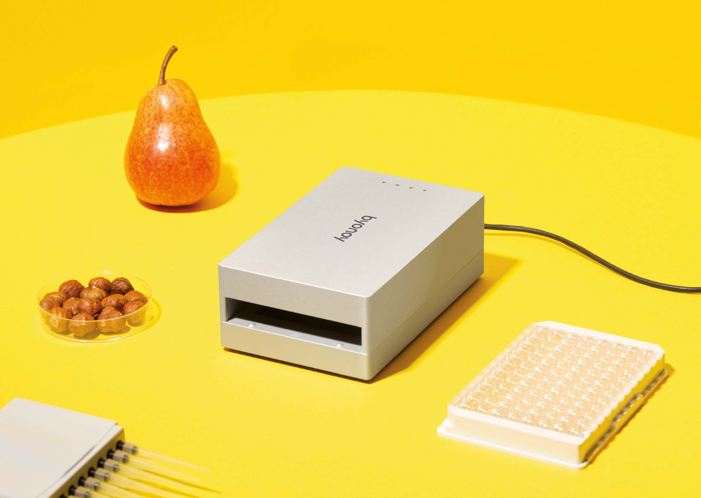